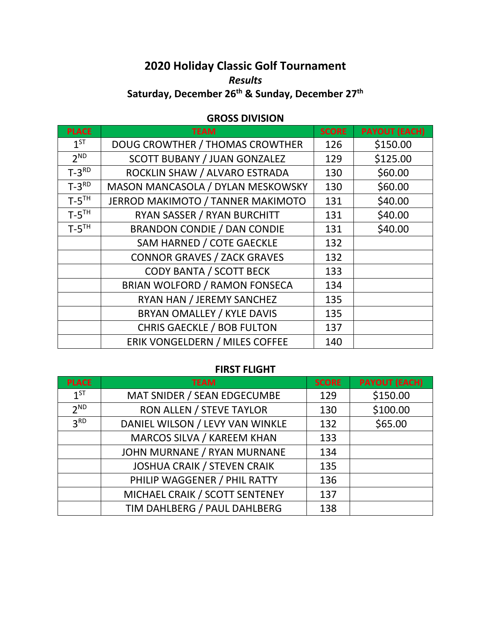# **2020 Holiday Classic Golf Tournament** *Results* **Saturday, December 26th & Sunday, December 27th**

## **GROSS DIVISION**

| <b>PLACE</b>        | <b>TEAM</b>                         | <b>SCORE</b> | <b>PAYOUT (EACH)</b> |
|---------------------|-------------------------------------|--------------|----------------------|
| $1^{ST}$            | DOUG CROWTHER / THOMAS CROWTHER     | 126          | \$150.00             |
| 2 <sup>ND</sup>     | <b>SCOTT BUBANY / JUAN GONZALEZ</b> | 129          | \$125.00             |
| $T-3^{RD}$          | ROCKLIN SHAW / ALVARO ESTRADA       | 130          | \$60.00              |
| $T-3^{RD}$          | MASON MANCASOLA / DYLAN MESKOWSKY   | 130          | \$60.00              |
| $T-5$ <sup>TH</sup> | JERROD MAKIMOTO / TANNER MAKIMOTO   | 131          | \$40.00              |
| $T-5$ <sup>TH</sup> | RYAN SASSER / RYAN BURCHITT         | 131          | \$40.00              |
| $T-5$ <sup>TH</sup> | <b>BRANDON CONDIE / DAN CONDIE</b>  | 131          | \$40.00              |
|                     | SAM HARNED / COTE GAECKLE           | 132          |                      |
|                     | <b>CONNOR GRAVES / ZACK GRAVES</b>  | 132          |                      |
|                     | <b>CODY BANTA / SCOTT BECK</b>      | 133          |                      |
|                     | BRIAN WOLFORD / RAMON FONSECA       | 134          |                      |
|                     | RYAN HAN / JEREMY SANCHEZ           | 135          |                      |
|                     | BRYAN OMALLEY / KYLE DAVIS          | 135          |                      |
|                     | <b>CHRIS GAECKLE / BOB FULTON</b>   | 137          |                      |
|                     | ERIK VONGELDERN / MILES COFFEE      | 140          |                      |

#### **FIRST FLIGHT**

| <b>PLACE</b>    | <b>TEAM</b>                        | <b>SCORE</b> | <b>PAYOUT (EACH)</b> |
|-----------------|------------------------------------|--------------|----------------------|
| $1^{ST}$        | MAT SNIDER / SEAN EDGECUMBE        | 129          | \$150.00             |
| 2 <sub>ND</sub> | RON ALLEN / STEVE TAYLOR           | 130          | \$100.00             |
| 3 <sup>RD</sup> | DANIEL WILSON / LEVY VAN WINKLE    | 132          | \$65.00              |
|                 | MARCOS SILVA / KAREEM KHAN         | 133          |                      |
|                 | JOHN MURNANE / RYAN MURNANE        | 134          |                      |
|                 | <b>JOSHUA CRAIK / STEVEN CRAIK</b> | 135          |                      |
|                 | PHILIP WAGGENER / PHIL RATTY       | 136          |                      |
|                 | MICHAEL CRAIK / SCOTT SENTENEY     | 137          |                      |
|                 | TIM DAHLBERG / PAUL DAHLBERG       | 138          |                      |